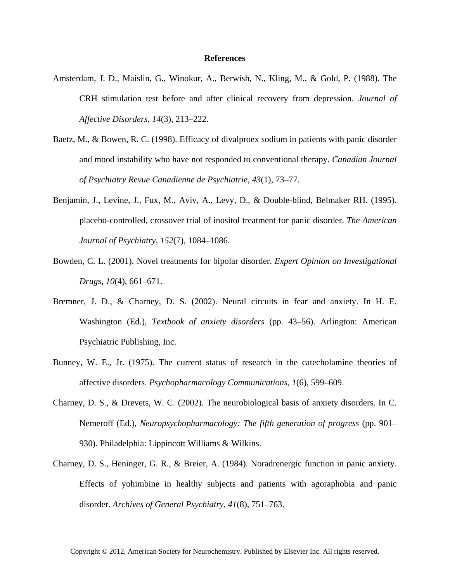## **References**

- Amsterdam, J. D., Maislin, G., Winokur, A., Berwish, N., Kling, M., & Gold, P. (1988). The CRH stimulation test before and after clinical recovery from depression. *Journal of Affective Disorders*, *14*(3), 213–222.
- Baetz, M., & Bowen, R. C. (1998). Efficacy of divalproex sodium in patients with panic disorder and mood instability who have not responded to conventional therapy. *Canadian Journal of Psychiatry Revue Canadienne de Psychiatrie*, *43*(1), 73–77.
- Benjamin, J., Levine, J., Fux, M., Aviv, A., Levy, D., & Double-blind, Belmaker RH. (1995). placebo-controlled, crossover trial of inositol treatment for panic disorder. *The American Journal of Psychiatry*, *152*(7), 1084–1086.
- Bowden, C. L. (2001). Novel treatments for bipolar disorder. *Expert Opinion on Investigational Drugs*, *10*(4), 661–671.
- Bremner, J. D., & Charney, D. S. (2002). Neural circuits in fear and anxiety. In H. E. Washington (Ed.), *Textbook of anxiety disorders* (pp. 43–56). Arlington: American Psychiatric Publishing, Inc.
- Bunney, W. E., Jr. (1975). The current status of research in the catecholamine theories of affective disorders. *Psychopharmacology Communications*, *1*(6), 599–609.
- Charney, D. S., & Drevets, W. C. (2002). The neurobiological basis of anxiety disorders. In C. Nemeroff (Ed.), *Neuropsychopharmacology: The fifth generation of progress* (pp. 901– 930). Philadelphia: Lippincott Williams & Wilkins.
- Charney, D. S., Heninger, G. R., & Breier, A. (1984). Noradrenergic function in panic anxiety. Effects of yohimbine in healthy subjects and patients with agoraphobia and panic disorder. *Archives of General Psychiatry*, *41*(8), 751–763.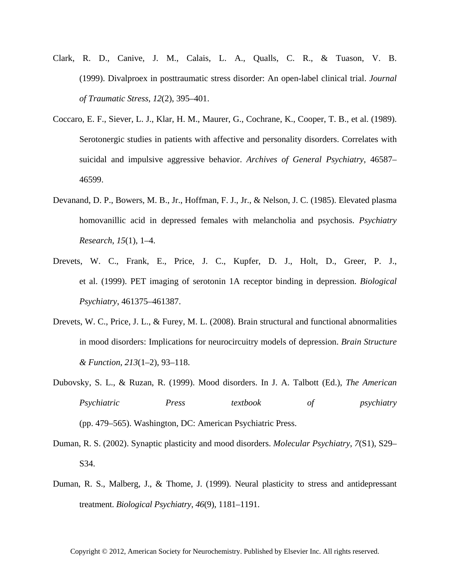- Clark, R. D., Canive, J. M., Calais, L. A., Qualls, C. R., & Tuason, V. B. (1999). Divalproex in posttraumatic stress disorder: An open-label clinical trial. *Journal of Traumatic Stress*, *12*(2), 395–401.
- Coccaro, E. F., Siever, L. J., Klar, H. M., Maurer, G., Cochrane, K., Cooper, T. B., et al. (1989). Serotonergic studies in patients with affective and personality disorders. Correlates with suicidal and impulsive aggressive behavior. *Archives of General Psychiatry*, 46587– 46599.
- Devanand, D. P., Bowers, M. B., Jr., Hoffman, F. J., Jr., & Nelson, J. C. (1985). Elevated plasma homovanillic acid in depressed females with melancholia and psychosis. *Psychiatry Research*, *15*(1), 1–4.
- Drevets, W. C., Frank, E., Price, J. C., Kupfer, D. J., Holt, D., Greer, P. J., et al. (1999). PET imaging of serotonin 1A receptor binding in depression. *Biological Psychiatry*, 461375–461387.
- Drevets, W. C., Price, J. L., & Furey, M. L. (2008). Brain structural and functional abnormalities in mood disorders: Implications for neurocircuitry models of depression. *Brain Structure & Function*, *213*(1–2), 93–118.
- Dubovsky, S. L., & Ruzan, R. (1999). Mood disorders. In J. A. Talbott (Ed.), *The American Psychiatric Press textbook of psychiatry* (pp. 479–565). Washington, DC: American Psychiatric Press.
- Duman, R. S. (2002). Synaptic plasticity and mood disorders. *Molecular Psychiatry*, *7*(S1), S29– S34.
- Duman, R. S., Malberg, J., & Thome, J. (1999). Neural plasticity to stress and antidepressant treatment. *Biological Psychiatry*, *46*(9), 1181–1191.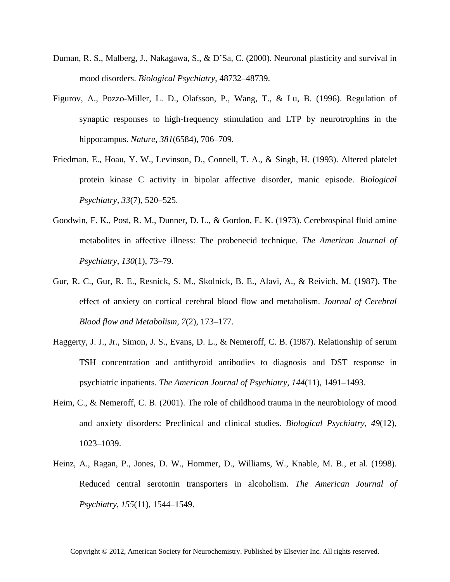- Duman, R. S., Malberg, J., Nakagawa, S., & D'Sa, C. (2000). Neuronal plasticity and survival in mood disorders. *Biological Psychiatry*, 48732–48739.
- Figurov, A., Pozzo-Miller, L. D., Olafsson, P., Wang, T., & Lu, B. (1996). Regulation of synaptic responses to high-frequency stimulation and LTP by neurotrophins in the hippocampus. *Nature*, *381*(6584), 706–709.
- Friedman, E., Hoau, Y. W., Levinson, D., Connell, T. A., & Singh, H. (1993). Altered platelet protein kinase C activity in bipolar affective disorder, manic episode. *Biological Psychiatry*, *33*(7), 520–525.
- Goodwin, F. K., Post, R. M., Dunner, D. L., & Gordon, E. K. (1973). Cerebrospinal fluid amine metabolites in affective illness: The probenecid technique. *The American Journal of Psychiatry*, *130*(1), 73–79.
- Gur, R. C., Gur, R. E., Resnick, S. M., Skolnick, B. E., Alavi, A., & Reivich, M. (1987). The effect of anxiety on cortical cerebral blood flow and metabolism. *Journal of Cerebral Blood flow and Metabolism*, *7*(2), 173–177.
- Haggerty, J. J., Jr., Simon, J. S., Evans, D. L., & Nemeroff, C. B. (1987). Relationship of serum TSH concentration and antithyroid antibodies to diagnosis and DST response in psychiatric inpatients. *The American Journal of Psychiatry*, *144*(11), 1491–1493.
- Heim, C., & Nemeroff, C. B. (2001). The role of childhood trauma in the neurobiology of mood and anxiety disorders: Preclinical and clinical studies. *Biological Psychiatry*, *49*(12), 1023–1039.
- Heinz, A., Ragan, P., Jones, D. W., Hommer, D., Williams, W., Knable, M. B., et al. (1998). Reduced central serotonin transporters in alcoholism. *The American Journal of Psychiatry*, *155*(11), 1544–1549.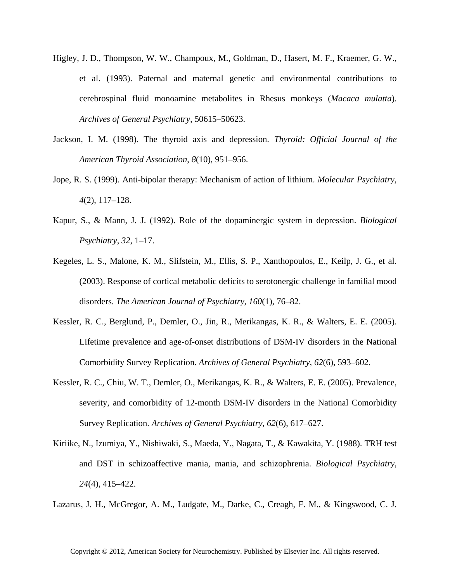- Higley, J. D., Thompson, W. W., Champoux, M., Goldman, D., Hasert, M. F., Kraemer, G. W., et al. (1993). Paternal and maternal genetic and environmental contributions to cerebrospinal fluid monoamine metabolites in Rhesus monkeys (*Macaca mulatta*). *Archives of General Psychiatry*, 50615–50623.
- Jackson, I. M. (1998). The thyroid axis and depression. *Thyroid: Official Journal of the American Thyroid Association*, *8*(10), 951–956.
- Jope, R. S. (1999). Anti-bipolar therapy: Mechanism of action of lithium. *Molecular Psychiatry*, *4*(2), 117–128.
- Kapur, S., & Mann, J. J. (1992). Role of the dopaminergic system in depression. *Biological Psychiatry*, *32*, 1–17.
- Kegeles, L. S., Malone, K. M., Slifstein, M., Ellis, S. P., Xanthopoulos, E., Keilp, J. G., et al. (2003). Response of cortical metabolic deficits to serotonergic challenge in familial mood disorders. *The American Journal of Psychiatry*, *160*(1), 76–82.
- Kessler, R. C., Berglund, P., Demler, O., Jin, R., Merikangas, K. R., & Walters, E. E. (2005). Lifetime prevalence and age-of-onset distributions of DSM-IV disorders in the National Comorbidity Survey Replication. *Archives of General Psychiatry*, *62*(6), 593–602.
- Kessler, R. C., Chiu, W. T., Demler, O., Merikangas, K. R., & Walters, E. E. (2005). Prevalence, severity, and comorbidity of 12-month DSM-IV disorders in the National Comorbidity Survey Replication. *Archives of General Psychiatry*, *62*(6), 617–627.
- Kiriike, N., Izumiya, Y., Nishiwaki, S., Maeda, Y., Nagata, T., & Kawakita, Y. (1988). TRH test and DST in schizoaffective mania, mania, and schizophrenia. *Biological Psychiatry*, *24*(4), 415–422.

Lazarus, J. H., McGregor, A. M., Ludgate, M., Darke, C., Creagh, F. M., & Kingswood, C. J.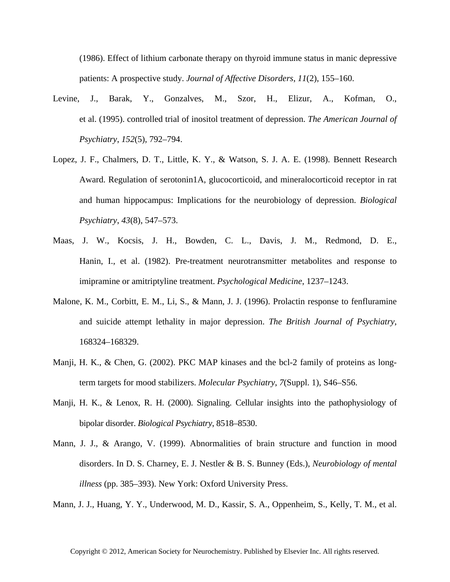(1986). Effect of lithium carbonate therapy on thyroid immune status in manic depressive patients: A prospective study. *Journal of Affective Disorders*, *11*(2), 155–160.

- Levine, J., Barak, Y., Gonzalves, M., Szor, H., Elizur, A., Kofman, O., et al. (1995). controlled trial of inositol treatment of depression. *The American Journal of Psychiatry*, *152*(5), 792–794.
- Lopez, J. F., Chalmers, D. T., Little, K. Y., & Watson, S. J. A. E. (1998). Bennett Research Award. Regulation of serotonin1A, glucocorticoid, and mineralocorticoid receptor in rat and human hippocampus: Implications for the neurobiology of depression. *Biological Psychiatry*, *43*(8), 547–573.
- Maas, J. W., Kocsis, J. H., Bowden, C. L., Davis, J. M., Redmond, D. E., Hanin, I., et al. (1982). Pre-treatment neurotransmitter metabolites and response to imipramine or amitriptyline treatment. *Psychological Medicine*, 1237–1243.
- Malone, K. M., Corbitt, E. M., Li, S., & Mann, J. J. (1996). Prolactin response to fenfluramine and suicide attempt lethality in major depression. *The British Journal of Psychiatry*, 168324–168329.
- Manji, H. K., & Chen, G. (2002). PKC MAP kinases and the bcl-2 family of proteins as longterm targets for mood stabilizers. *Molecular Psychiatry*, *7*(Suppl. 1), S46–S56.
- Manji, H. K., & Lenox, R. H. (2000). Signaling. Cellular insights into the pathophysiology of bipolar disorder. *Biological Psychiatry*, 8518–8530.
- Mann, J. J., & Arango, V. (1999). Abnormalities of brain structure and function in mood disorders. In D. S. Charney, E. J. Nestler & B. S. Bunney (Eds.), *Neurobiology of mental illness* (pp. 385–393). New York: Oxford University Press.

Mann, J. J., Huang, Y. Y., Underwood, M. D., Kassir, S. A., Oppenheim, S., Kelly, T. M., et al.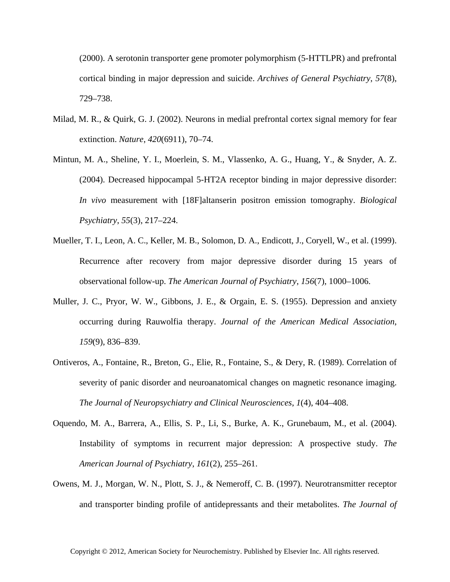(2000). A serotonin transporter gene promoter polymorphism (5-HTTLPR) and prefrontal cortical binding in major depression and suicide. *Archives of General Psychiatry*, *57*(8), 729–738.

- Milad, M. R., & Quirk, G. J. (2002). Neurons in medial prefrontal cortex signal memory for fear extinction. *Nature*, *420*(6911), 70–74.
- Mintun, M. A., Sheline, Y. I., Moerlein, S. M., Vlassenko, A. G., Huang, Y., & Snyder, A. Z. (2004). Decreased hippocampal 5-HT2A receptor binding in major depressive disorder: *In vivo* measurement with [18F]altanserin positron emission tomography. *Biological Psychiatry*, *55*(3), 217–224.
- Mueller, T. I., Leon, A. C., Keller, M. B., Solomon, D. A., Endicott, J., Coryell, W., et al. (1999). Recurrence after recovery from major depressive disorder during 15 years of observational follow-up. *The American Journal of Psychiatry*, *156*(7), 1000–1006.
- Muller, J. C., Pryor, W. W., Gibbons, J. E., & Orgain, E. S. (1955). Depression and anxiety occurring during Rauwolfia therapy. *Journal of the American Medical Association*, *159*(9), 836–839.
- Ontiveros, A., Fontaine, R., Breton, G., Elie, R., Fontaine, S., & Dery, R. (1989). Correlation of severity of panic disorder and neuroanatomical changes on magnetic resonance imaging. *The Journal of Neuropsychiatry and Clinical Neurosciences*, *1*(4), 404–408.
- Oquendo, M. A., Barrera, A., Ellis, S. P., Li, S., Burke, A. K., Grunebaum, M., et al. (2004). Instability of symptoms in recurrent major depression: A prospective study. *The American Journal of Psychiatry*, *161*(2), 255–261.
- Owens, M. J., Morgan, W. N., Plott, S. J., & Nemeroff, C. B. (1997). Neurotransmitter receptor and transporter binding profile of antidepressants and their metabolites. *The Journal of*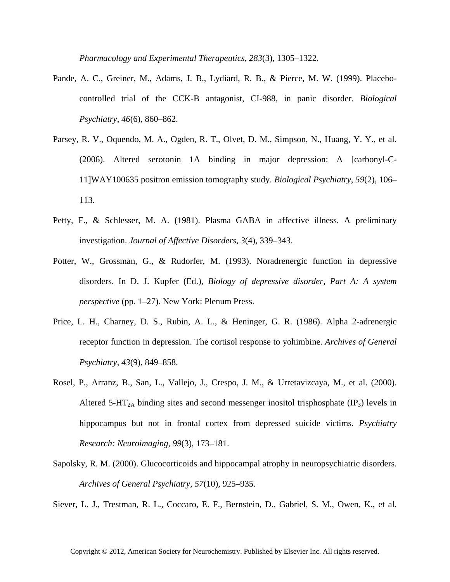*Pharmacology and Experimental Therapeutics*, *283*(3), 1305–1322.

- Pande, A. C., Greiner, M., Adams, J. B., Lydiard, R. B., & Pierce, M. W. (1999). Placebocontrolled trial of the CCK-B antagonist, CI-988, in panic disorder. *Biological Psychiatry*, *46*(6), 860–862.
- Parsey, R. V., Oquendo, M. A., Ogden, R. T., Olvet, D. M., Simpson, N., Huang, Y. Y., et al. (2006). Altered serotonin 1A binding in major depression: A [carbonyl-C-11]WAY100635 positron emission tomography study. *Biological Psychiatry*, *59*(2), 106– 113.
- Petty, F., & Schlesser, M. A. (1981). Plasma GABA in affective illness. A preliminary investigation. *Journal of Affective Disorders*, *3*(4), 339–343.
- Potter, W., Grossman, G., & Rudorfer, M. (1993). Noradrenergic function in depressive disorders. In D. J. Kupfer (Ed.), *Biology of depressive disorder, Part A: A system perspective* (pp. 1–27). New York: Plenum Press.
- Price, L. H., Charney, D. S., Rubin, A. L., & Heninger, G. R. (1986). Alpha 2-adrenergic receptor function in depression. The cortisol response to yohimbine. *Archives of General Psychiatry*, *43*(9), 849–858.
- Rosel, P., Arranz, B., San, L., Vallejo, J., Crespo, J. M., & Urretavizcaya, M., et al. (2000). Altered 5-HT<sub>2A</sub> binding sites and second messenger inositol trisphosphate  $(\text{IP}_3)$  levels in hippocampus but not in frontal cortex from depressed suicide victims. *Psychiatry Research: Neuroimaging*, *99*(3), 173–181.
- Sapolsky, R. M. (2000). Glucocorticoids and hippocampal atrophy in neuropsychiatric disorders. *Archives of General Psychiatry*, *57*(10), 925–935.

Siever, L. J., Trestman, R. L., Coccaro, E. F., Bernstein, D., Gabriel, S. M., Owen, K., et al.